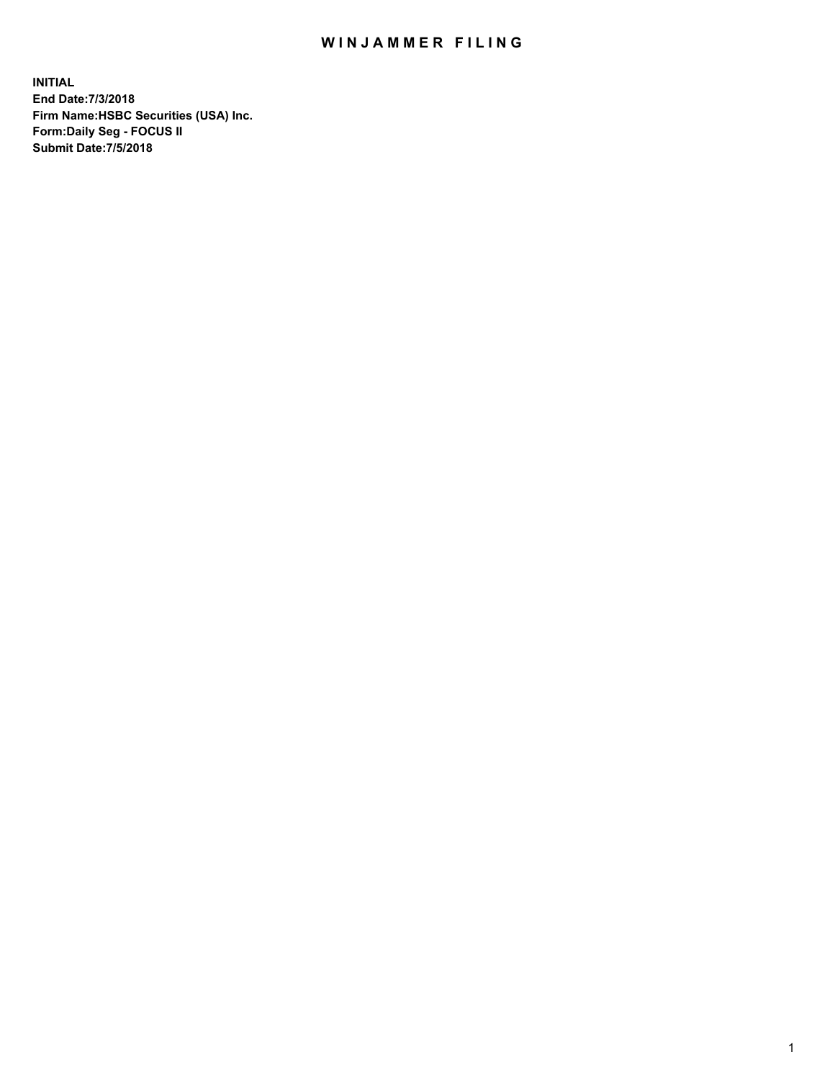## WIN JAMMER FILING

**INITIAL End Date:7/3/2018 Firm Name:HSBC Securities (USA) Inc. Form:Daily Seg - FOCUS II Submit Date:7/5/2018**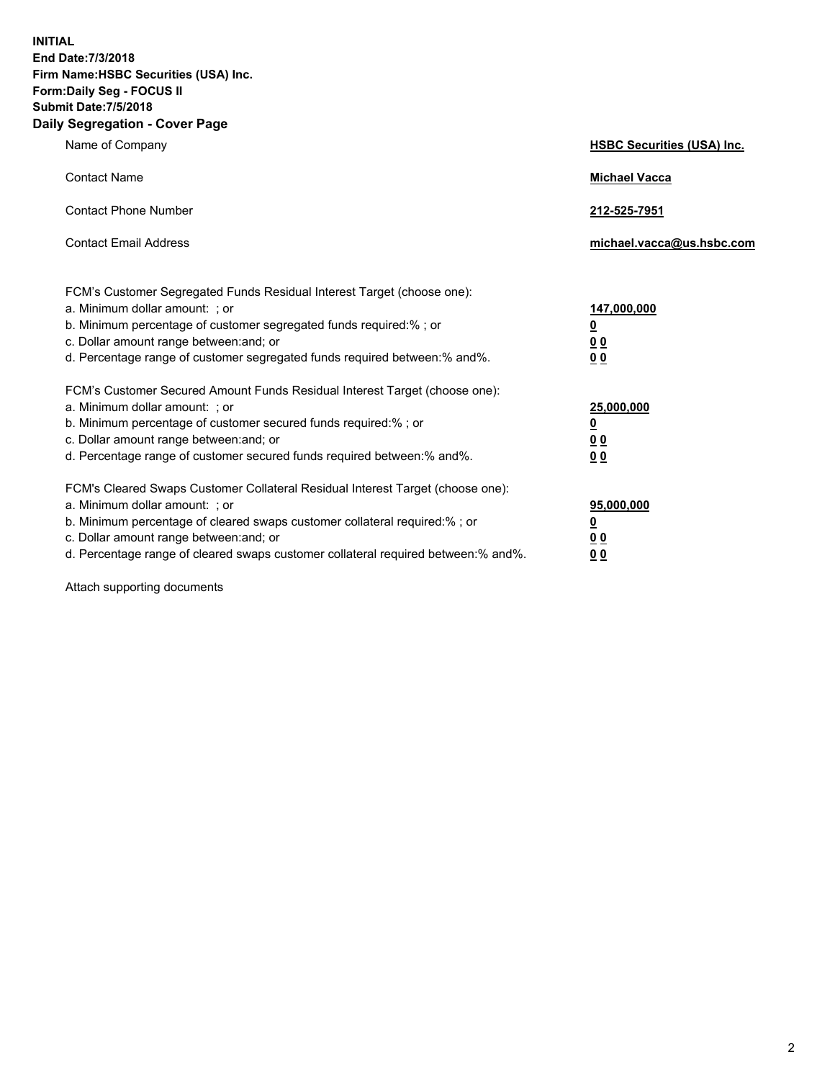**INITIAL End Date:7/3/2018 Firm Name:HSBC Securities (USA) Inc. Form:Daily Seg - FOCUS II Submit Date:7/5/2018 Daily Segregation - Cover Page**

| Name of Company                                                                                                                                                                                                                                                                                                                | <b>HSBC Securities (USA) Inc.</b>                                          |
|--------------------------------------------------------------------------------------------------------------------------------------------------------------------------------------------------------------------------------------------------------------------------------------------------------------------------------|----------------------------------------------------------------------------|
| <b>Contact Name</b>                                                                                                                                                                                                                                                                                                            | <b>Michael Vacca</b>                                                       |
| <b>Contact Phone Number</b>                                                                                                                                                                                                                                                                                                    | 212-525-7951                                                               |
| <b>Contact Email Address</b>                                                                                                                                                                                                                                                                                                   | michael.vacca@us.hsbc.com                                                  |
| FCM's Customer Segregated Funds Residual Interest Target (choose one):<br>a. Minimum dollar amount: : or<br>b. Minimum percentage of customer segregated funds required:% ; or<br>c. Dollar amount range between: and; or<br>d. Percentage range of customer segregated funds required between:% and%.                         | 147,000,000<br>$\overline{\mathbf{0}}$<br>0 <sub>0</sub><br>0 <sub>0</sub> |
| FCM's Customer Secured Amount Funds Residual Interest Target (choose one):<br>a. Minimum dollar amount: ; or<br>b. Minimum percentage of customer secured funds required:% ; or<br>c. Dollar amount range between: and; or<br>d. Percentage range of customer secured funds required between:% and%.                           | 25,000,000<br><u>0</u><br>0 <sub>0</sub><br>0 <sub>0</sub>                 |
| FCM's Cleared Swaps Customer Collateral Residual Interest Target (choose one):<br>a. Minimum dollar amount: ; or<br>b. Minimum percentage of cleared swaps customer collateral required:% ; or<br>c. Dollar amount range between: and; or<br>d. Percentage range of cleared swaps customer collateral required between:% and%. | 95,000,000<br><u>0</u><br>00<br><u>00</u>                                  |

Attach supporting documents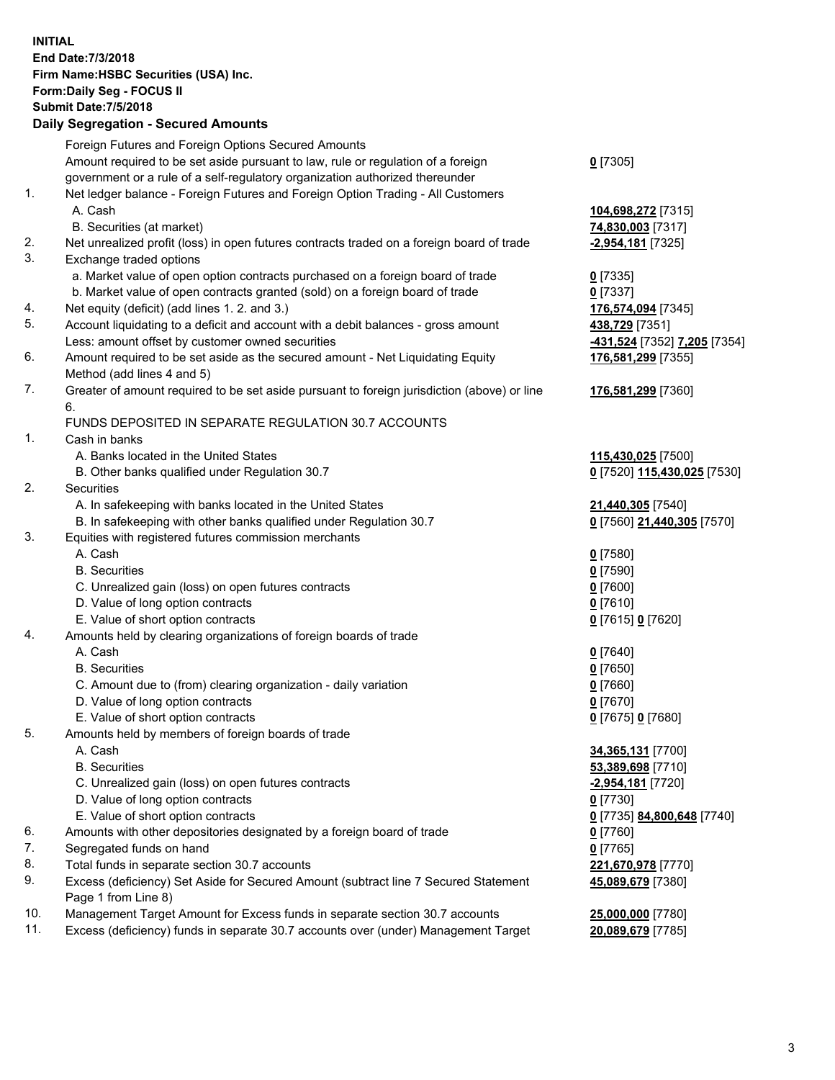**INITIAL End Date:7/3/2018 Firm Name:HSBC Securities (USA) Inc. Form:Daily Seg - FOCUS II Submit Date:7/5/2018 Daily Segregation - Secured Amounts** Foreign Futures and Foreign Options Secured Amounts Amount required to be set aside pursuant to law, rule or regulation of a foreign government or a rule of a self-regulatory organization authorized thereunder **0** [7305] 1. Net ledger balance - Foreign Futures and Foreign Option Trading - All Customers A. Cash **104,698,272** [7315] B. Securities (at market) **74,830,003** [7317] 2. Net unrealized profit (loss) in open futures contracts traded on a foreign board of trade **-2,954,181** [7325] 3. Exchange traded options a. Market value of open option contracts purchased on a foreign board of trade **0** [7335] b. Market value of open contracts granted (sold) on a foreign board of trade **0** [7337] 4. Net equity (deficit) (add lines 1. 2. and 3.) **176,574,094** [7345] 5. Account liquidating to a deficit and account with a debit balances - gross amount **438,729** [7351] Less: amount offset by customer owned securities **-431,524** [7352] **7,205** [7354] 6. Amount required to be set aside as the secured amount - Net Liquidating Equity Method (add lines 4 and 5) **176,581,299** [7355] 7. Greater of amount required to be set aside pursuant to foreign jurisdiction (above) or line 6. **176,581,299** [7360] FUNDS DEPOSITED IN SEPARATE REGULATION 30.7 ACCOUNTS 1. Cash in banks A. Banks located in the United States **115,430,025** [7500] B. Other banks qualified under Regulation 30.7 **0** [7520] **115,430,025** [7530] 2. Securities A. In safekeeping with banks located in the United States **21,440,305** [7540] B. In safekeeping with other banks qualified under Regulation 30.7 **0** [7560] **21,440,305** [7570] 3. Equities with registered futures commission merchants A. Cash **0** [7580] B. Securities **0** [7590] C. Unrealized gain (loss) on open futures contracts **0** [7600] D. Value of long option contracts **0** [7610] E. Value of short option contracts **0** [7615] **0** [7620] 4. Amounts held by clearing organizations of foreign boards of trade A. Cash **0** [7640] B. Securities **0** [7650] C. Amount due to (from) clearing organization - daily variation **0** [7660] D. Value of long option contracts **0** [7670] E. Value of short option contracts **0** [7675] **0** [7680] 5. Amounts held by members of foreign boards of trade A. Cash **34,365,131** [7700] B. Securities **53,389,698** [7710] C. Unrealized gain (loss) on open futures contracts **-2,954,181** [7720] D. Value of long option contracts **0** [7730] E. Value of short option contracts **0** [7735] **84,800,648** [7740] 6. Amounts with other depositories designated by a foreign board of trade **0** [7760] 7. Segregated funds on hand **0** [7765] 8. Total funds in separate section 30.7 accounts **221,670,978** [7770] 9. Excess (deficiency) Set Aside for Secured Amount (subtract line 7 Secured Statement Page 1 from Line 8) **45,089,679** [7380] 10. Management Target Amount for Excess funds in separate section 30.7 accounts **25,000,000** [7780] 11. Excess (deficiency) funds in separate 30.7 accounts over (under) Management Target **20,089,679** [7785]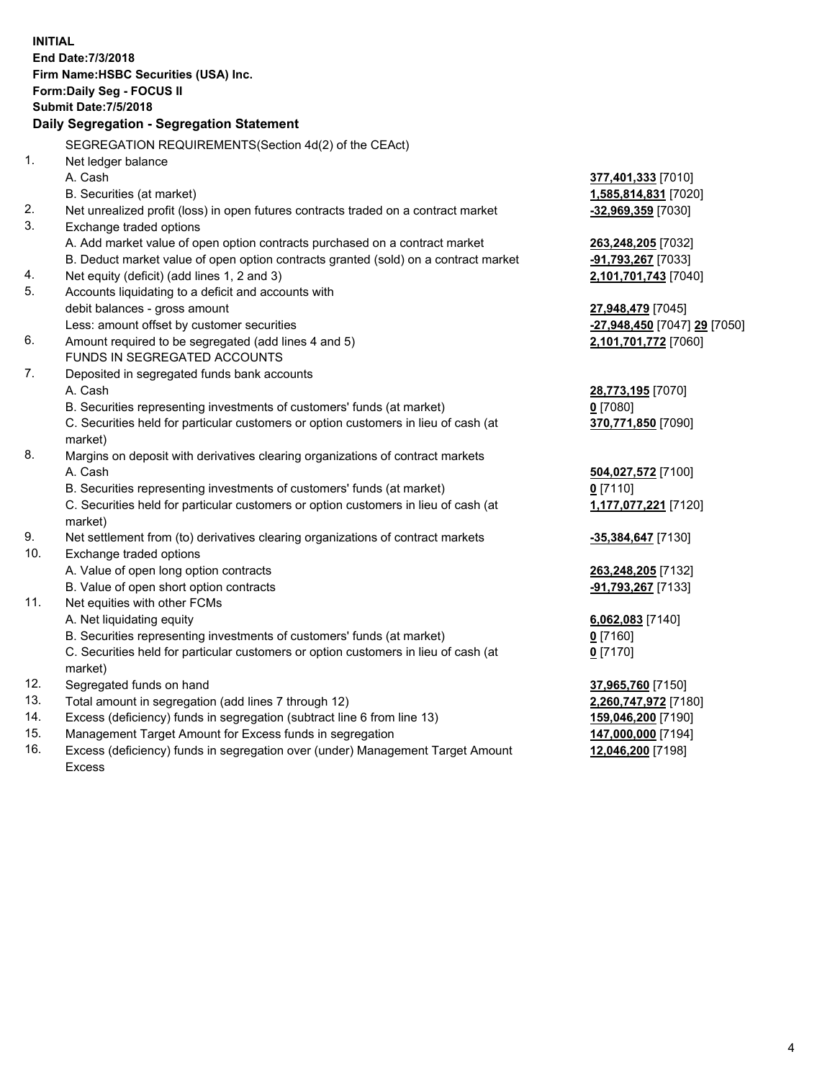|     | <b>INITIAL</b>                                                                      |                              |
|-----|-------------------------------------------------------------------------------------|------------------------------|
|     | End Date: 7/3/2018                                                                  |                              |
|     | Firm Name: HSBC Securities (USA) Inc.                                               |                              |
|     | Form: Daily Seg - FOCUS II                                                          |                              |
|     | <b>Submit Date: 7/5/2018</b>                                                        |                              |
|     | Daily Segregation - Segregation Statement                                           |                              |
|     | SEGREGATION REQUIREMENTS(Section 4d(2) of the CEAct)                                |                              |
| 1.  | Net ledger balance                                                                  |                              |
|     | A. Cash                                                                             | 377,401,333 [7010]           |
|     | B. Securities (at market)                                                           | <u>1,585,814,831</u> [7020]  |
| 2.  | Net unrealized profit (loss) in open futures contracts traded on a contract market  | -32,969,359 [7030]           |
| 3.  | Exchange traded options                                                             |                              |
|     | A. Add market value of open option contracts purchased on a contract market         | 263,248,205 [7032]           |
|     | B. Deduct market value of open option contracts granted (sold) on a contract market | -91,793,267 [7033]           |
| 4.  | Net equity (deficit) (add lines 1, 2 and 3)                                         | 2,101,701,743 [7040]         |
| 5.  | Accounts liquidating to a deficit and accounts with                                 |                              |
|     | debit balances - gross amount                                                       | 27,948,479 [7045]            |
|     | Less: amount offset by customer securities                                          | -27,948,450 [7047] 29 [7050] |
| 6.  | Amount required to be segregated (add lines 4 and 5)                                | 2,101,701,772 [7060]         |
|     | <b>FUNDS IN SEGREGATED ACCOUNTS</b>                                                 |                              |
| 7.  | Deposited in segregated funds bank accounts                                         |                              |
|     | A. Cash                                                                             | <u>28,773,195</u> [7070]     |
|     | B. Securities representing investments of customers' funds (at market)              | <u>0</u> [7080]              |
|     | C. Securities held for particular customers or option customers in lieu of cash (at | 370,771,850 [7090]           |
|     | market)                                                                             |                              |
| 8.  | Margins on deposit with derivatives clearing organizations of contract markets      |                              |
|     | A. Cash                                                                             | 504,027,572 [7100]           |
|     | B. Securities representing investments of customers' funds (at market)              | $0$ [7110]                   |
|     | C. Securities held for particular customers or option customers in lieu of cash (at | 1,177,077,221 [7120]         |
|     | market)                                                                             |                              |
| 9.  | Net settlement from (to) derivatives clearing organizations of contract markets     | -35,384,647 [7130]           |
| 10. | Exchange traded options                                                             |                              |
|     | A. Value of open long option contracts                                              | 263,248,205 [7132]           |
|     | B. Value of open short option contracts                                             | <u>-91,793,267</u> [7133]    |
| 11. | Net equities with other FCMs                                                        |                              |
|     | A. Net liquidating equity                                                           | 6,062,083 [7140]             |
|     | B. Securities representing investments of customers' funds (at market)              | $0$ [7160]                   |
|     | C. Securities held for particular customers or option customers in lieu of cash (at | $0$ [7170]                   |
|     | market)                                                                             |                              |
| 12. | Segregated funds on hand                                                            | 37,965,760 [7150]            |
| 13. | Total amount in segregation (add lines 7 through 12)                                | 2,260,747,972 [7180]         |
| 14. | Excess (deficiency) funds in segregation (subtract line 6 from line 13)             | 159,046,200 [7190]           |
| 15. | Management Target Amount for Excess funds in segregation                            | 147,000,000 [7194]           |

16. Excess (deficiency) funds in segregation over (under) Management Target Amount Excess

## **12,046,200** [7198]